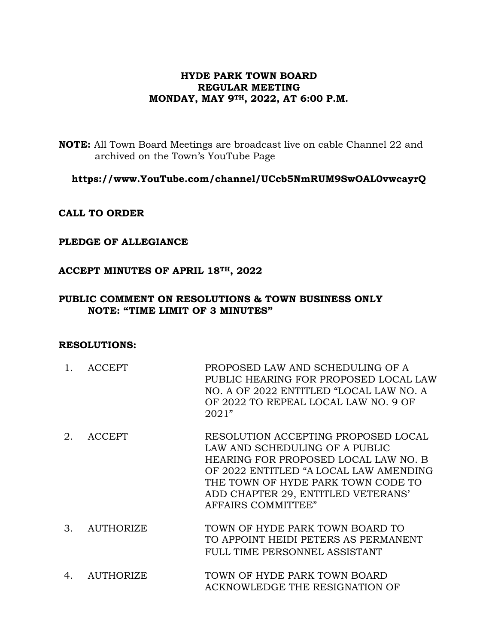## **HYDE PARK TOWN BOARD REGULAR MEETING MONDAY, MAY 9TH, 2022, AT 6:00 P.M.**

**NOTE:** All Town Board Meetings are broadcast live on cable Channel 22 and archived on the Town's YouTube Page

**https://www.YouTube.com/channel/UCcb5NmRUM9SwOAL0vwcayrQ**

#### **CALL TO ORDER**

### **PLEDGE OF ALLEGIANCE**

### **ACCEPT MINUTES OF APRIL 18TH, 2022**

### **PUBLIC COMMENT ON RESOLUTIONS & TOWN BUSINESS ONLY NOTE: "TIME LIMIT OF 3 MINUTES"**

#### **RESOLUTIONS:**

- 1. ACCEPT PROPOSED LAW AND SCHEDULING OF A PUBLIC HEARING FOR PROPOSED LOCAL LAW NO. A OF 2022 ENTITLED "LOCAL LAW NO. A OF 2022 TO REPEAL LOCAL LAW NO. 9 OF 2021"
- 2. ACCEPT RESOLUTION ACCEPTING PROPOSED LOCAL LAW AND SCHEDULING OF A PUBLIC HEARING FOR PROPOSED LOCAL LAW NO. B OF 2022 ENTITLED "A LOCAL LAW AMENDING THE TOWN OF HYDE PARK TOWN CODE TO ADD CHAPTER 29, ENTITLED VETERANS' AFFAIRS COMMITTEE"
- 3. AUTHORIZE TOWN OF HYDE PARK TOWN BOARD TO TO APPOINT HEIDI PETERS AS PERMANENT FULL TIME PERSONNEL ASSISTANT
- 4. AUTHORIZE TOWN OF HYDE PARK TOWN BOARD ACKNOWLEDGE THE RESIGNATION OF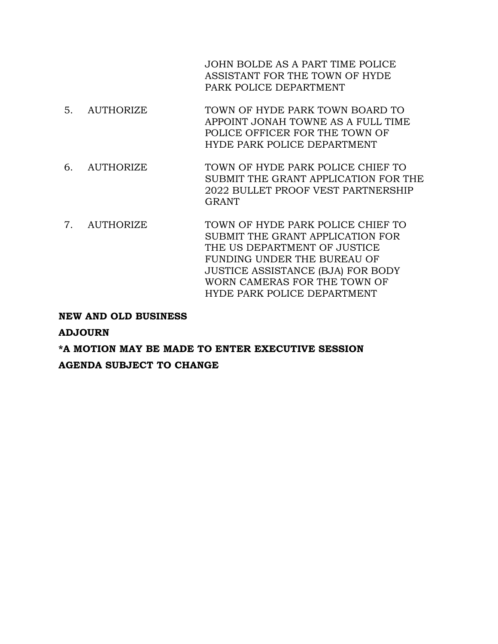JOHN BOLDE AS A PART TIME POLICE ASSISTANT FOR THE TOWN OF HYDE PARK POLICE DEPARTMENT

- 5. AUTHORIZE TOWN OF HYDE PARK TOWN BOARD TO APPOINT JONAH TOWNE AS A FULL TIME POLICE OFFICER FOR THE TOWN OF HYDE PARK POLICE DEPARTMENT
- 6. AUTHORIZE TOWN OF HYDE PARK POLICE CHIEF TO SUBMIT THE GRANT APPLICATION FOR THE 2022 BULLET PROOF VEST PARTNERSHIP GRANT
- 7. AUTHORIZE TOWN OF HYDE PARK POLICE CHIEF TO SUBMIT THE GRANT APPLICATION FOR THE US DEPARTMENT OF JUSTICE FUNDING UNDER THE BUREAU OF JUSTICE ASSISTANCE (BJA) FOR BODY WORN CAMERAS FOR THE TOWN OF HYDE PARK POLICE DEPARTMENT

#### **NEW AND OLD BUSINESS**

## **ADJOURN**

# **\*A MOTION MAY BE MADE TO ENTER EXECUTIVE SESSION AGENDA SUBJECT TO CHANGE**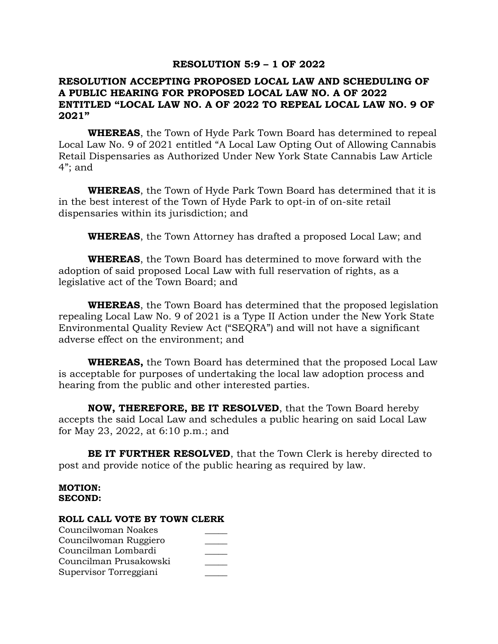#### **RESOLUTION 5:9 – 1 OF 2022**

### **RESOLUTION ACCEPTING PROPOSED LOCAL LAW AND SCHEDULING OF A PUBLIC HEARING FOR PROPOSED LOCAL LAW NO. A OF 2022 ENTITLED "LOCAL LAW NO. A OF 2022 TO REPEAL LOCAL LAW NO. 9 OF 2021"**

**WHEREAS**, the Town of Hyde Park Town Board has determined to repeal Local Law No. 9 of 2021 entitled "A Local Law Opting Out of Allowing Cannabis Retail Dispensaries as Authorized Under New York State Cannabis Law Article 4"; and

**WHEREAS**, the Town of Hyde Park Town Board has determined that it is in the best interest of the Town of Hyde Park to opt-in of on-site retail dispensaries within its jurisdiction; and

**WHEREAS**, the Town Attorney has drafted a proposed Local Law; and

**WHEREAS**, the Town Board has determined to move forward with the adoption of said proposed Local Law with full reservation of rights, as a legislative act of the Town Board; and

**WHEREAS**, the Town Board has determined that the proposed legislation repealing Local Law No. 9 of 2021 is a Type II Action under the New York State Environmental Quality Review Act ("SEQRA") and will not have a significant adverse effect on the environment; and

**WHEREAS,** the Town Board has determined that the proposed Local Law is acceptable for purposes of undertaking the local law adoption process and hearing from the public and other interested parties. <sup>-</sup>

**NOW, THEREFORE, BE IT RESOLVED**, that the Town Board hereby accepts the said Local Law and schedules a public hearing on said Local Law for May 23, 2022, at 6:10 p.m.; and

**BE IT FURTHER RESOLVED**, that the Town Clerk is hereby directed to post and provide notice of the public hearing as required by law.

#### **MOTION: SECOND:**

| Councilwoman Noakes    |  |
|------------------------|--|
| Councilwoman Ruggiero  |  |
| Councilman Lombardi    |  |
| Councilman Prusakowski |  |
| Supervisor Torreggiani |  |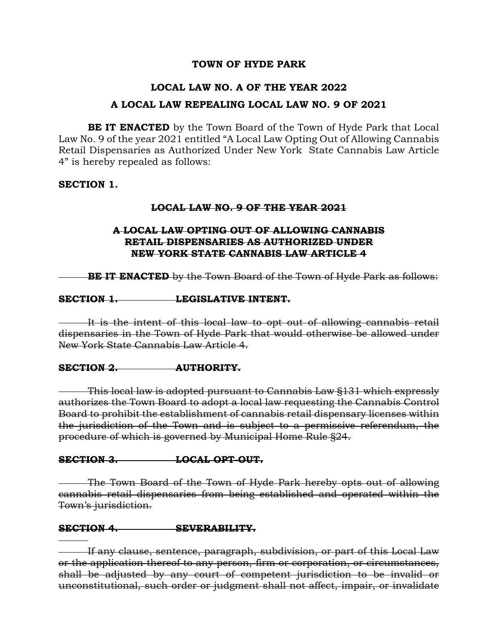### **TOWN OF HYDE PARK**

## **LOCAL LAW NO. A OF THE YEAR 2022**

## **A LOCAL LAW REPEALING LOCAL LAW NO. 9 OF 2021**

**BE IT ENACTED** by the Town Board of the Town of Hyde Park that Local Law No. 9 of the year 2021 entitled "A Local Law Opting Out of Allowing Cannabis Retail Dispensaries as Authorized Under New York State Cannabis Law Article 4" is hereby repealed as follows:

**SECTION 1.**

#### **LOCAL LAW NO. 9 OF THE YEAR 2021**

## **A LOCAL LAW OPTING OUT OF ALLOWING CANNABIS RETAIL DISPENSARIES AS AUTHORIZED UNDER NEW YORK STATE CANNABIS LAW ARTICLE 4**

**BE IT ENACTED** by the Town Board of the Town of Hyde Park as follows:

### **SECTION 1. LEGISLATIVE INTENT.**

It is the intent of this local law to opt out of allowing cannabis retail dispensaries in the Town of Hyde Park that would otherwise be allowed under New York State Cannabis Law Article 4.

#### **SECTION 2. AUTHORITY.**

This local law is adopted pursuant to Cannabis Law §131 which expressly authorizes the Town Board to adopt a local law requesting the Cannabis Control Board to prohibit the establishment of cannabis retail dispensary licenses within the jurisdiction of the Town and is subject to a permissive referendum, the procedure of which is governed by Municipal Home Rule §24.

#### **SECTION 3. LOCAL OPT-OUT.**

The Town Board of the Town of Hyde Park hereby opts out of allowing cannabis retail dispensaries from being established and operated within the Town's jurisdiction.

## **SECTION 4. SEVERABILITY.**

If any clause, sentence, paragraph, subdivision, or part of this Local Law or the application thereof to any person, firm or corporation, or circumstances, shall be adjusted by any court of competent jurisdiction to be invalid or unconstitutional, such order or judgment shall not affect, impair, or invalidate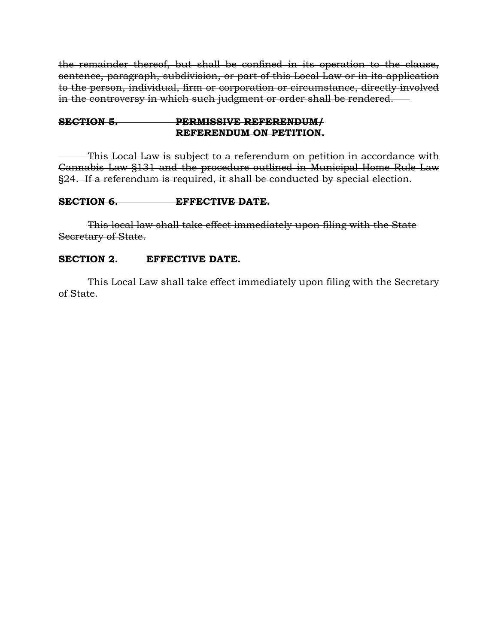the remainder thereof, but shall be confined in its operation to the clause, sentence, paragraph, subdivision, or part of this Local Law or in its application to the person, individual, firm or corporation or circumstance, directly involved in the controversy in which such judgment or order shall be rendered.

## **SECTION 5. PERMISSIVE REFERENDUM/ REFERENDUM ON PETITION.**

This Local Law is subject to a referendum on petition in accordance with Cannabis Law §131 and the procedure outlined in Municipal Home Rule Law §24. If a referendum is required, it shall be conducted by special election.

## **SECTION 6. EFFECTIVE DATE.**

This local law shall take effect immediately upon filing with the State Secretary of State.

## **SECTION 2. EFFECTIVE DATE.**

This Local Law shall take effect immediately upon filing with the Secretary of State.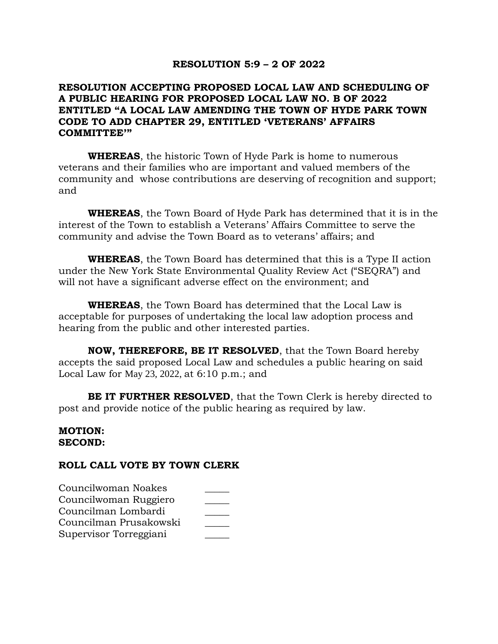#### **RESOLUTION 5:9 – 2 OF 2022**

## **RESOLUTION ACCEPTING PROPOSED LOCAL LAW AND SCHEDULING OF A PUBLIC HEARING FOR PROPOSED LOCAL LAW NO. B OF 2022 ENTITLED "A LOCAL LAW AMENDING THE TOWN OF HYDE PARK TOWN CODE TO ADD CHAPTER 29, ENTITLED 'VETERANS' AFFAIRS COMMITTEE'"**

**WHEREAS**, the historic Town of Hyde Park is home to numerous veterans and their families who are important and valued members of the community and whose contributions are deserving of recognition and support; and

**WHEREAS**, the Town Board of Hyde Park has determined that it is in the interest of the Town to establish a Veterans' Affairs Committee to serve the community and advise the Town Board as to veterans' affairs; and

**WHEREAS**, the Town Board has determined that this is a Type II action under the New York State Environmental Quality Review Act ("SEQRA") and will not have a significant adverse effect on the environment; and

**WHEREAS**, the Town Board has determined that the Local Law is acceptable for purposes of undertaking the local law adoption process and hearing from the public and other interested parties.

**NOW, THEREFORE, BE IT RESOLVED**, that the Town Board hereby accepts the said proposed Local Law and schedules a public hearing on said Local Law for May 23, 2022, at 6:10 p.m.; and

**BE IT FURTHER RESOLVED**, that the Town Clerk is hereby directed to post and provide notice of the public hearing as required by law.

#### **MOTION: SECOND:**

| Councilwoman Noakes    |  |
|------------------------|--|
| Councilwoman Ruggiero  |  |
| Councilman Lombardi    |  |
| Councilman Prusakowski |  |
| Supervisor Torreggiani |  |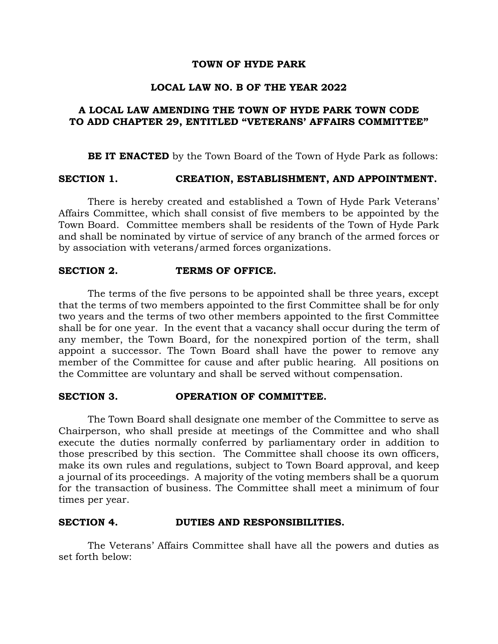#### **TOWN OF HYDE PARK**

#### **LOCAL LAW NO. B OF THE YEAR 2022**

### **A LOCAL LAW AMENDING THE TOWN OF HYDE PARK TOWN CODE TO ADD CHAPTER 29, ENTITLED "VETERANS' AFFAIRS COMMITTEE"**

**BE IT ENACTED** by the Town Board of the Town of Hyde Park as follows:

#### **SECTION 1. CREATION, ESTABLISHMENT, AND APPOINTMENT.**

There is hereby created and established a Town of Hyde Park Veterans' Affairs Committee, which shall consist of five members to be appointed by the Town Board. Committee members shall be residents of the Town of Hyde Park and shall be nominated by virtue of service of any branch of the armed forces or by association with veterans/armed forces organizations.

#### **SECTION 2. TERMS OF OFFICE.**

The terms of the five persons to be appointed shall be three years, except that the terms of two members appointed to the first Committee shall be for only two years and the terms of two other members appointed to the first Committee shall be for one year. In the event that a vacancy shall occur during the term of any member, the Town Board, for the nonexpired portion of the term, shall appoint a successor. The Town Board shall have the power to remove any member of the Committee for cause and after public hearing. All positions on the Committee are voluntary and shall be served without compensation.

#### **SECTION 3. OPERATION OF COMMITTEE.**

The Town Board shall designate one member of the Committee to serve as Chairperson, who shall preside at meetings of the Committee and who shall execute the duties normally conferred by parliamentary order in addition to those prescribed by this section. The Committee shall choose its own officers, make its own rules and regulations, subject to Town Board approval, and keep a journal of its proceedings. A majority of the voting members shall be a quorum for the transaction of business. The Committee shall meet a minimum of four times per year.

#### **SECTION 4. DUTIES AND RESPONSIBILITIES.**

The Veterans' Affairs Committee shall have all the powers and duties as set forth below: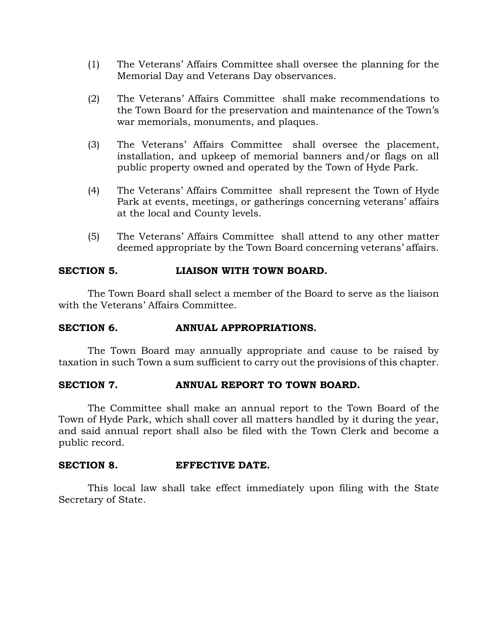- (1) The Veterans' Affairs Committee shall oversee the planning for the Memorial Day and Veterans Day observances.
- (2) The Veterans' Affairs Committee shall make recommendations to the Town Board for the preservation and maintenance of the Town's war memorials, monuments, and plaques.
- (3) The Veterans' Affairs Committee shall oversee the placement, installation, and upkeep of memorial banners and/or flags on all public property owned and operated by the Town of Hyde Park.
- (4) The Veterans' Affairs Committee shall represent the Town of Hyde Park at events, meetings, or gatherings concerning veterans' affairs at the local and County levels.
- (5) The Veterans' Affairs Committee shall attend to any other matter deemed appropriate by the Town Board concerning veterans' affairs.

## **SECTION 5. LIAISON WITH TOWN BOARD.**

The Town Board shall select a member of the Board to serve as the liaison with the Veterans' Affairs Committee.

#### **SECTION 6. ANNUAL APPROPRIATIONS.**

The Town Board may annually appropriate and cause to be raised by taxation in such Town a sum sufficient to carry out the provisions of this chapter.

## **SECTION 7. ANNUAL REPORT TO TOWN BOARD.**

The Committee shall make an annual report to the Town Board of the Town of Hyde Park, which shall cover all matters handled by it during the year, and said annual report shall also be filed with the Town Clerk and become a public record.

#### **SECTION 8. EFFECTIVE DATE.**

This local law shall take effect immediately upon filing with the State Secretary of State.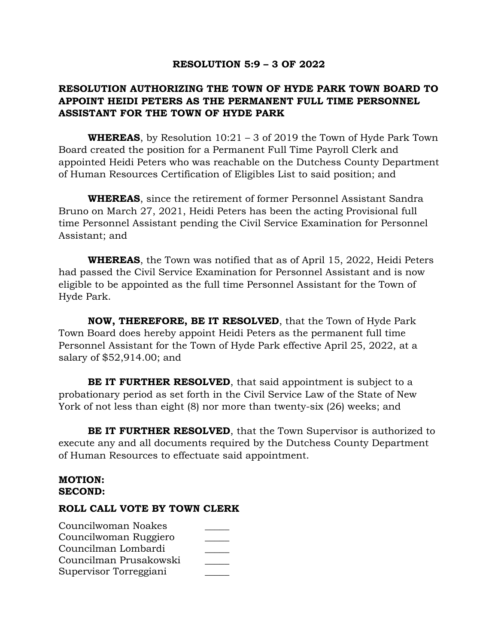### **RESOLUTION 5:9 – 3 OF 2022**

## **RESOLUTION AUTHORIZING THE TOWN OF HYDE PARK TOWN BOARD TO APPOINT HEIDI PETERS AS THE PERMANENT FULL TIME PERSONNEL ASSISTANT FOR THE TOWN OF HYDE PARK**

**WHEREAS**, by Resolution 10:21 – 3 of 2019 the Town of Hyde Park Town Board created the position for a Permanent Full Time Payroll Clerk and appointed Heidi Peters who was reachable on the Dutchess County Department of Human Resources Certification of Eligibles List to said position; and

**WHEREAS**, since the retirement of former Personnel Assistant Sandra Bruno on March 27, 2021, Heidi Peters has been the acting Provisional full time Personnel Assistant pending the Civil Service Examination for Personnel Assistant; and

**WHEREAS**, the Town was notified that as of April 15, 2022, Heidi Peters had passed the Civil Service Examination for Personnel Assistant and is now eligible to be appointed as the full time Personnel Assistant for the Town of Hyde Park.

**NOW, THEREFORE, BE IT RESOLVED**, that the Town of Hyde Park Town Board does hereby appoint Heidi Peters as the permanent full time Personnel Assistant for the Town of Hyde Park effective April 25, 2022, at a salary of \$52,914.00; and

**BE IT FURTHER RESOLVED**, that said appointment is subject to a probationary period as set forth in the Civil Service Law of the State of New York of not less than eight (8) nor more than twenty-six (26) weeks; and

**BE IT FURTHER RESOLVED**, that the Town Supervisor is authorized to execute any and all documents required by the Dutchess County Department of Human Resources to effectuate said appointment.

#### **MOTION: SECOND:**

| Councilwoman Noakes    |  |
|------------------------|--|
| Councilwoman Ruggiero  |  |
| Councilman Lombardi    |  |
| Councilman Prusakowski |  |
| Supervisor Torreggiani |  |
|                        |  |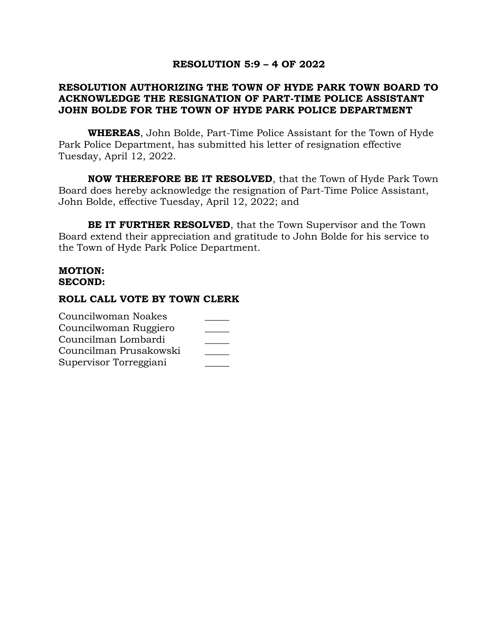### **RESOLUTION 5:9 – 4 OF 2022**

## **RESOLUTION AUTHORIZING THE TOWN OF HYDE PARK TOWN BOARD TO ACKNOWLEDGE THE RESIGNATION OF PART-TIME POLICE ASSISTANT JOHN BOLDE FOR THE TOWN OF HYDE PARK POLICE DEPARTMENT**

**WHEREAS**, John Bolde, Part-Time Police Assistant for the Town of Hyde Park Police Department, has submitted his letter of resignation effective Tuesday, April 12, 2022.

**NOW THEREFORE BE IT RESOLVED**, that the Town of Hyde Park Town Board does hereby acknowledge the resignation of Part-Time Police Assistant, John Bolde, effective Tuesday, April 12, 2022; and

**BE IT FURTHER RESOLVED**, that the Town Supervisor and the Town Board extend their appreciation and gratitude to John Bolde for his service to the Town of Hyde Park Police Department.

#### **MOTION: SECOND:**

| Councilwoman Noakes    |  |
|------------------------|--|
| Councilwoman Ruggiero  |  |
| Councilman Lombardi    |  |
| Councilman Prusakowski |  |
| Supervisor Torreggiani |  |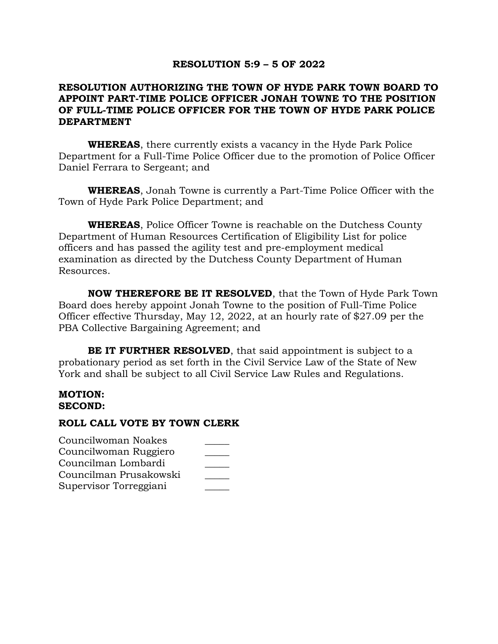#### **RESOLUTION 5:9 – 5 OF 2022**

## **RESOLUTION AUTHORIZING THE TOWN OF HYDE PARK TOWN BOARD TO APPOINT PART-TIME POLICE OFFICER JONAH TOWNE TO THE POSITION OF FULL-TIME POLICE OFFICER FOR THE TOWN OF HYDE PARK POLICE DEPARTMENT**

**WHEREAS**, there currently exists a vacancy in the Hyde Park Police Department for a Full-Time Police Officer due to the promotion of Police Officer Daniel Ferrara to Sergeant; and

**WHEREAS**, Jonah Towne is currently a Part-Time Police Officer with the Town of Hyde Park Police Department; and

**WHEREAS**, Police Officer Towne is reachable on the Dutchess County Department of Human Resources Certification of Eligibility List for police officers and has passed the agility test and pre-employment medical examination as directed by the Dutchess County Department of Human Resources.

**NOW THEREFORE BE IT RESOLVED**, that the Town of Hyde Park Town Board does hereby appoint Jonah Towne to the position of Full-Time Police Officer effective Thursday, May 12, 2022, at an hourly rate of \$27.09 per the PBA Collective Bargaining Agreement; and

**BE IT FURTHER RESOLVED**, that said appointment is subject to a probationary period as set forth in the Civil Service Law of the State of New York and shall be subject to all Civil Service Law Rules and Regulations.

#### **MOTION: SECOND:**

| Councilwoman Noakes    |  |
|------------------------|--|
| Councilwoman Ruggiero  |  |
| Councilman Lombardi    |  |
| Councilman Prusakowski |  |
| Supervisor Torreggiani |  |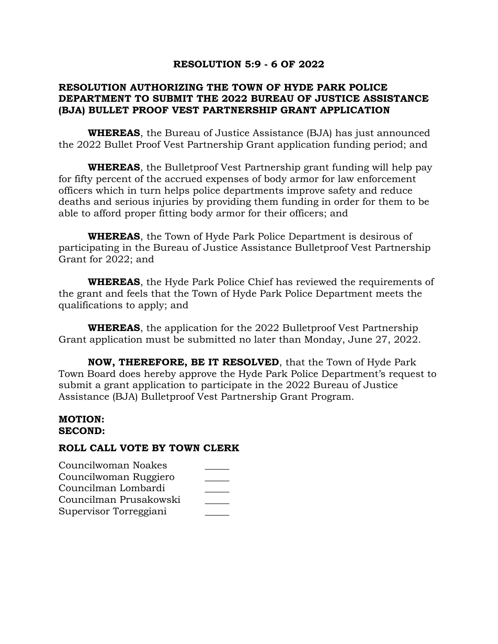### **RESOLUTION 5:9 - 6 OF 2022**

## **RESOLUTION AUTHORIZING THE TOWN OF HYDE PARK POLICE DEPARTMENT TO SUBMIT THE 2022 BUREAU OF JUSTICE ASSISTANCE (BJA) BULLET PROOF VEST PARTNERSHIP GRANT APPLICATION**

**WHEREAS**, the Bureau of Justice Assistance (BJA) has just announced the 2022 Bullet Proof Vest Partnership Grant application funding period; and

**WHEREAS**, the Bulletproof Vest Partnership grant funding will help pay for fifty percent of the accrued expenses of body armor for law enforcement officers which in turn helps police departments improve safety and reduce deaths and serious injuries by providing them funding in order for them to be able to afford proper fitting body armor for their officers; and

**WHEREAS**, the Town of Hyde Park Police Department is desirous of participating in the Bureau of Justice Assistance Bulletproof Vest Partnership Grant for 2022; and

**WHEREAS**, the Hyde Park Police Chief has reviewed the requirements of the grant and feels that the Town of Hyde Park Police Department meets the qualifications to apply; and

**WHEREAS**, the application for the 2022 Bulletproof Vest Partnership Grant application must be submitted no later than Monday, June 27, 2022.

**NOW, THEREFORE, BE IT RESOLVED**, that the Town of Hyde Park Town Board does hereby approve the Hyde Park Police Department's request to submit a grant application to participate in the 2022 Bureau of Justice Assistance (BJA) Bulletproof Vest Partnership Grant Program.

#### **MOTION: SECOND:**

| Councilwoman Noakes    |  |
|------------------------|--|
| Councilwoman Ruggiero  |  |
| Councilman Lombardi    |  |
| Councilman Prusakowski |  |
| Supervisor Torreggiani |  |